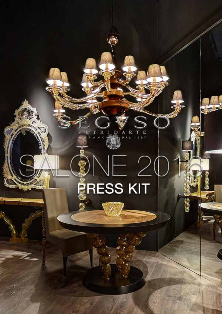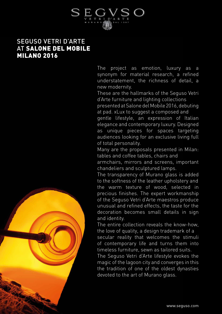

# SEGUSO VETRI D'ARTE AT SALONE DEL MOBILE MILANO 2016

The project as emotion, luxury as a synonym for material research, a refined understatement, the richness of detail, a new modernity.

These are the hallmarks of the Seguso Vetri d'Arte furniture and lighting collections

presented at Salone del Mobile 2016, debuting at pad. xLux to suggest a composed and

gentle lifestyle, an expression of Italian elegance and contemporary luxury. Designed as unique pieces for spaces targeting audiences looking for an exclusive living full of total personality.

Many are the proposals presented in Milan: tables and coffee tables, chairs and

armchairs, mirrors and screens, important chandeliers and sculptured lamps.

The transparency of Murano glass is added to the softness of the leather upholstery and the warm texture of wood, selected in precious finishes. The expert workmanship of the Seguso Vetri d'Arte maestros produce unusual and refined effects, the taste for the decoration becomes small details in sign and identity.

The entire collection reveals the know-how. the love of quality, a design trademark of a secular reality that welcomes the stimuli of contemporary life and turns them into

timeless furniture, sewn as tailored suits.

The Seguso Vetri d'Arte lifestyle evokes the magic of the lagoon city and converges in this the tradition of one of the oldest dynasties devoted to the art of Murano glass.

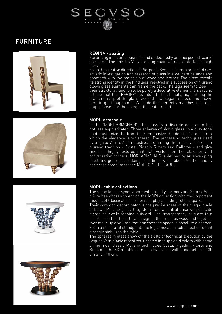

# FURNITURE



# REGINA - seating

Surprising in its preciousness and undoubtedly an unexpected scenic presence. The "REGINA" is a dining chair with a comfortable, high back.

From the creative direction of Pierpaolo Seguso forms a project of new artistic investigation and research of glass in a delicate balance and approach with the materials of wood and leather. The glass reveals its strong identity in the hind legs, resolved in a succession of Murano blown glass elements that frame the back. The legs seem to lose their structural function to be purely a decorative element. It is around a table that the "REGINA" reveals all of its beauty, highlighting the craftsmanship of the glass, worked into elegant shapes and shown here in gold taupe color. A shade that perfectly matches the color taupe chosen for the lining of the leather seat.



#### MORI- armchair

In the "MORI ARMCHAIR", the glass is a discrete decoration but not less sophisticated. Three spheres of blown glass, in a gray-tone gold, customize the front feet: emphasize the detail of a design in which the elegance is whispered. The processing techniques used by Seguso Vetri d'Arte maestros are among the most typical of the Murano tradition - Costa, Rigadin Ritorto and Balloton - and give rise to a highly textured material. Perfect for the relaxation and conversation corners, MORI ARMCHAIR is defined by an enveloping shell and generous padding. It is lined with nubuck leather and is perfect to compliment the MORI COFFEE TABLE.



## MORI - table collections

The round table is synonymous with friendly harmony and Seguso Vetri d'Arte has chosen to enrich the MORI collection with two important models of Classical proportions, to play a leading role in space.

Their common denominator is the preciousness of their legs. Made of blown Murano glass, they stem from a central base with delicate stems of jewels fanning outward. The transparency of glass is a counterpoint to the natural design of the precious wood and together they make up a volume that enriches the space in absolute elegance. From a structural standpoint, the leg conceals a solid steel core that strongly stabilizes the table.

The spheres in glass show off the skills of technical execution by the Seguso Vetri d'Arte maestros. Created in taupe gold colors with some of the most classic Murano techniques Costa, Rigadin, Ritorto and Balloton. The MORI table comes in two sizes, with a diameter of 135 cm and 110 cm.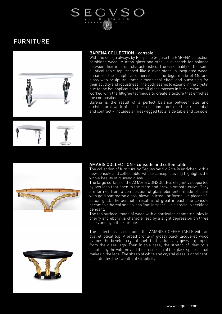

# FURNITURE



# BARENA COLLECTION - console

With the design always by Pierpaolo Seguso the BARENA collection combines wood, Murano glass and steel in a search for balance between their inherent characteristics. The essentiality of the semi elliptical table top, shaped like a river stone in lacquered wood, enhances the sculptural dimension of the legs, made of Murano glass with sculptural three-dimensional effect and surprising for their solidity and robustness. The body seems to expand in the crystal due to the hot application of small glass masses in black color,

worked with the filligree technique to create a texture that enriches the composition.

Barena is the result of a perfect balance between size and architectural work of art. The collection - designed for residential and contract – includes a three-legged table, side table and console.







# AMARIS COLLECTION - consolle and coffee table

The collection of furniture by Seguso Vetri d'Arte is enriched with a new console and coffee table, whose concept cleverly highlights the whole beauty of Murano glass.

The large surface of the AMARIS CONSOLLE is elegantly supported by two legs that open to the stem and draw a smooth curve. They are formed from a composition of glass elements, made of clear with gold sommerso glass, blown in irregular forms like pieces of actual gold. The aesthetic result is of great impact: the console becomes ethereal and its legs float in space like a precious necklace pendant.

The top surface, made of wood with a particular geometric inlay in cherry and ebony, is characterized by a slight depression on three sides and by a thick profile.

The collection also includes the AMARIS COFFEE TABLE with an oval elliptical top. A broad profile in glossy black lacquered wood frames the beveled crystal shelf that seductively gives a glimpse from the glass legs. Even in this case, the stretch of identity is dictated by the volume and the processing of the glass spheres that make up the legs. The sheen of white and crystal glass is dominant: accentuates the "wealth of simplicity.